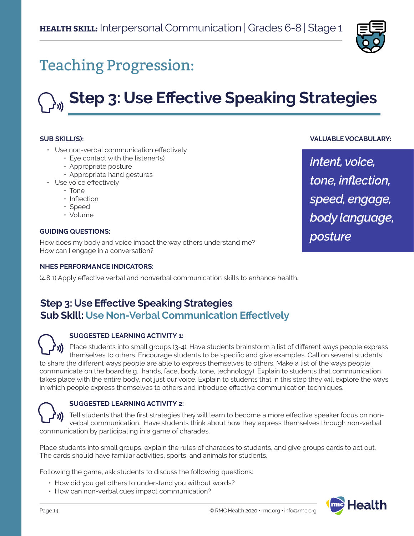

## Teaching Progression:

# **Step 3: Use Effective Speaking Strategies**

#### **SUB SKILL(S):**

- Use non-verbal communication effectively
	- Eye contact with the listener(s)
	- Appropriate posture
	- Appropriate hand gestures
- Use voice effectively
	- Tone
	- Inflection
	- Speed
	- Volume

#### **GUIDING QUESTIONS:**

How does my body and voice impact the way others understand me? How can I engage in a conversation?

#### **NHES PERFORMANCE INDICATORS:**

(4.8.1) Apply effective verbal and nonverbal communication skills to enhance health.

## **Step 3: Use Effective Speaking Strategies Sub Skill: Use Non-Verbal Communication Effectively**

#### **SUGGESTED LEARNING ACTIVITY 1:**

Place students into small groups (3-4). Have students brainstorm a list of different ways people express themselves to others. Encourage students to be specific and give examples. Call on several students to share the different ways people are able to express themselves to others. Make a list of the ways people communicate on the board (e.g. hands, face, body, tone, technology). Explain to students that communication takes place with the entire body, not just our voice. Explain to students that in this step they will explore the ways in which people express themselves to others and introduce effective communication techniques.

#### **SUGGESTED LEARNING ACTIVITY 2:**

Tell students that the first strategies they will learn to become a more effective speaker focus on nonverbal communication. Have students think about how they express themselves through non-verbal communication by participating in a game of charades.

Place students into small groups, explain the rules of charades to students, and give groups cards to act out. The cards should have familiar activities, sports, and animals for students.

Following the game, ask students to discuss the following questions:

- How did you get others to understand you without words?
- How can non-verbal cues impact communication?



#### **VALUABLE VOCABULARY:**

*intent, voice, tone, inflection, speed, engage, body language, posture*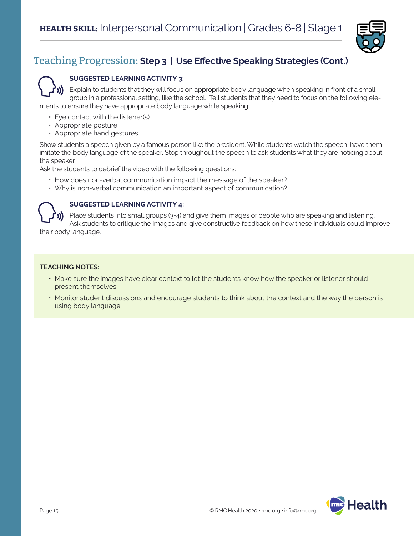

## Teaching Progression: **Step 3 | Use Effective Speaking Strategies (Cont.)**

#### **SUGGESTED LEARNING ACTIVITY 3:**

Explain to students that they will focus on appropriate body language when speaking in front of a small group in a professional setting, like the school. Tell students that they need to focus on the following elements to ensure they have appropriate body language while speaking:

- Eye contact with the listener(s)
- Appropriate posture
- Appropriate hand gestures

Show students a speech given by a famous person like the president. While students watch the speech, have them imitate the body language of the speaker. Stop throughout the speech to ask students what they are noticing about the speaker.

Ask the students to debrief the video with the following questions:

- How does non-verbal communication impact the message of the speaker?
- Why is non-verbal communication an important aspect of communication?

#### **SUGGESTED LEARNING ACTIVITY 4:**

Place students into small groups (3-4) and give them images of people who are speaking and listening. Ask students to critique the images and give constructive feedback on how these individuals could improve

their body language.

#### **TEACHING NOTES:**

- Make sure the images have clear context to let the students know how the speaker or listener should present themselves.
- Monitor student discussions and encourage students to think about the context and the way the person is using body language.

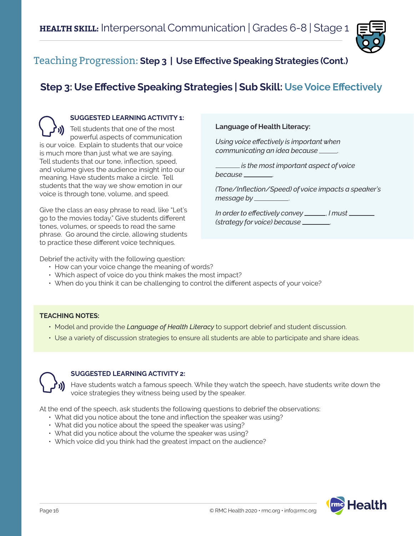

### Teaching Progression: **Step 3 | Use Effective Speaking Strategies (Cont.)**

## **Step 3: Use Effective Speaking Strategies | Sub Skill: Use Voice Effectively**

**SUGGESTED LEARNING ACTIVITY 1:** Tell students that one of the most powerful aspects of communication is our voice. Explain to students that our voice is much more than just what we are saying. Tell students that our tone, inflection, speed, and volume gives the audience insight into our meaning. Have students make a circle. Tell students that the way we show emotion in our voice is through tone, volume, and speed.

Give the class an easy phrase to read, like "Let's go to the movies today." Give students different tones, volumes, or speeds to read the same phrase. Go around the circle, allowing students to practice these different voice techniques.

#### **Language of Health Literacy:**

*Using voice effectively is important when communicating an idea because* .

 *is the most important aspect of voice because* .

*(Tone/Inflection/Speed) of voice impacts a speaker's message by* .

*In order to effectively convey* , *I must (strategy for voice) because* .

Debrief the activity with the following question:

- How can your voice change the meaning of words?
- Which aspect of voice do you think makes the most impact?
- When do you think it can be challenging to control the different aspects of your voice?

#### **TEACHING NOTES:**

- Model and provide the *Language of Health Literacy* to support debrief and student discussion.
- Use a variety of discussion strategies to ensure all students are able to participate and share ideas.



#### **SUGGESTED LEARNING ACTIVITY 2:**

Have students watch a famous speech. While they watch the speech, have students write down the voice strategies they witness being used by the speaker.

At the end of the speech, ask students the following questions to debrief the observations:

- What did you notice about the tone and inflection the speaker was using?
- What did you notice about the speed the speaker was using?
- What did you notice about the volume the speaker was using?
- Which voice did you think had the greatest impact on the audience?